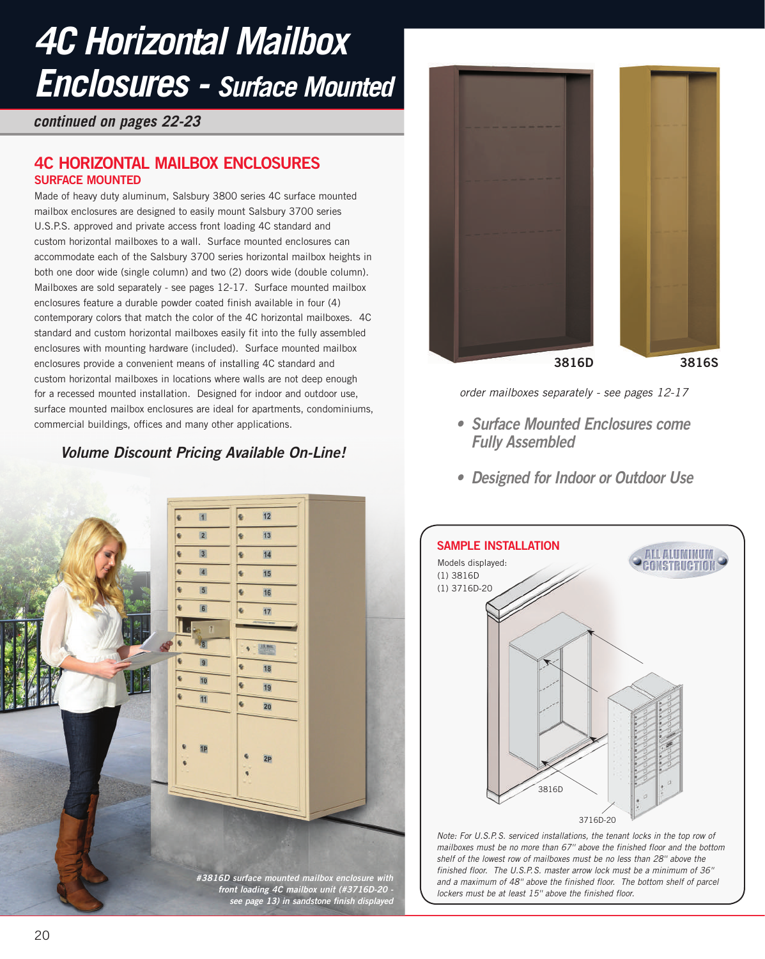## *4C Horizontal Mailbox Enclosures - Surface Mounted*

*continued on pages 22-23*

## **4C HORIZONTAL MAILBOX ENCLOSURES SURFACE MOUNTED**

Made of heavy duty aluminum, Salsbury 3800 series 4C surface mounted mailbox enclosures are designed to easily mount Salsbury 3700 series U.S.P.S. approved and private access front loading 4C standard and custom horizontal mailboxes to a wall. Surface mounted enclosures can accommodate each of the Salsbury 3700 series horizontal mailbox heights in both one door wide (single column) and two (2) doors wide (double column). Mailboxes are sold separately - see pages 12-17. Surface mounted mailbox enclosures feature a durable powder coated finish available in four (4) contemporary colors that match the color of the 4C horizontal mailboxes. 4C standard and custom horizontal mailboxes easily fit into the fully assembled enclosures with mounting hardware (included). Surface mounted mailbox enclosures provide a convenient means of installing 4C standard and custom horizontal mailboxes in locations where walls are not deep enough for a recessed mounted installation. Designed for indoor and outdoor use, surface mounted mailbox enclosures are ideal for apartments, condominiums, commercial buildings, offices and many other applications.

## **Volume Discount Pricing Available On-Line!**





*order mailboxes separately - see pages 12-17*

- **• Surface Mounted Enclosures come Fully Assembled**
- **• Designed for Indoor or Outdoor Use**



*Note: For U.S.P.S. serviced installations, the tenant locks in the top row of mailboxes must be no more than 67'' above the finished floor and the bottom shelf of the lowest row of mailboxes must be no less than 28'' above the finished floor. The U.S.P.S. master arrow lock must be a minimum of 36'' and a maximum of 48'' above the finished floor. The bottom shelf of parcel lockers must be at least 15'' above the finished floor.*